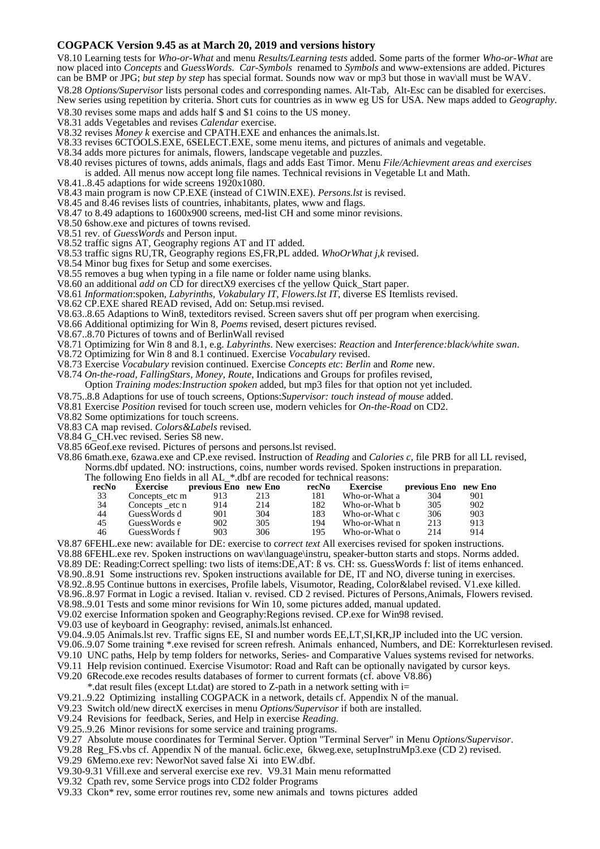## **COGPACK Version 9.45 as at March 20, 2019 and versions history**

V8.10 Learning tests for *Who-or-What* and menu *Results/Learning tests* added. Some parts of the former *Who-or-What* are now placed into *Concepts* and *GuessWords. Car-Symbols* renamed to *Symbols* and www-extensions are added. Pictures can be BMP or JPG; *but step by step* has special format. Sounds now wav or mp3 but those in wav\all must be WAV. V8.28 *Options/Supervisor* lists personal codes and corresponding names. Alt-Tab, Alt-Esc can be disabled for exercises. New series using repetition by criteria. Short cuts for countries as in www eg US for USA. New maps added to *Geography*.

V8.30 revises some maps and adds half \$ and \$1 coins to the US money.

V8.31 adds Vegetables and revises *Calendar* exercise.

- V8.32 revises *Money k* exercise and CPATH.EXE and enhances the animals.lst.
- V8.33 revises 6CTOOLS.EXE, 6SELECT.EXE, some menu items, and pictures of animals and vegetable.
- V8.34 adds more pictures for animals, flowers, landscape vegetable and puzzles.
- V8.40 revises pictures of towns, adds animals, flags and adds East Timor. Menu *File/Achievment areas and exercises*  is added. All menus now accept long file names. Technical revisions in Vegetable Lt and Math.
- V8.41..8.45 adaptions for wide screens 1920x1080.
- V8.43 main program is now CP.EXE (instead of C1WIN.EXE). *Persons.lst* is revised.
- V8.45 and 8.46 revises lists of countries, inhabitants, plates, www and flags.
- V8.47 to 8.49 adaptions to 1600x900 screens, med-list CH and some minor revisions.
- V8.50 6show.exe and pictures of towns revised.
- V8.51 rev. of *GuessWords* and Person input.
- V8.52 traffic signs AT, Geography regions AT and IT added.
- V8.53 traffic signs RU,TR, Geography regions ES,FR,PL added. *WhoOrWhat j,k* revised.
- V8.54 Minor bug fixes for Setup and some exercises.
- V8.55 removes a bug when typing in a file name or folder name using blanks.
- V8.60 an additional *add on* CD for directX9 exercises cf the yellow Quick\_Start paper.
- V8.61 *Information*:spoken, *Labyrinths, Vokabulary IT, Flowers.lst IT*, diverse ES Itemlists revised.
- V8.62 CP.EXE shared READ revised, Add on: Setup.msi revised.
- V8.63..8.65 Adaptions to Win8, texteditors revised. Screen savers shut off per program when exercising.
- V8.66 Additional optimizing for Win 8, *Poems* revised, desert pictures revised.
- V8.67..8.70 Pictures of towns and of BerlinWall revised
- V8.71 Optimizing for Win 8 and 8.1, e.g. *Labyrinths*. New exercises: *Reaction* and *Interference:black/white swan*.
- V8.72 Optimizing for Win 8 and 8.1 continued. Exercise *Vocabulary* revised.
- V8.73 Exercise *Vocabulary* revision continued. Exercise *Concepts etc*: *Berlin* and *Rome* new.
- V8.74 *On-the-road, FallingStars, Money, Route*, Indications and Groups for profiles revised, Option *Training modes:Instruction spoken* added, but mp3 files for that option not yet included.
- V8.75..8.8 Adaptions for use of touch screens, Options:*Supervisor: touch instead of mouse* added.
- V8.81 Exercise *Position* revised for touch screen use, modern vehicles for *On-the-Road* on CD2.
- V8.82 Some optimizations for touch screens.
- V8.83 CA map revised. *Colors&Labels* revised.
- V8.84 G\_CH.vec revised. Series S8 new.
- V8.85 6Geof.exe revised. Pictures of persons and persons.lst revised.
- V8.86 6math.exe, 6zawa.exe and CP.exe revised. Instruction of *Reading* and *Calories c,* file PRB for all LL revised, Norms.dbf updated. NO: instructions, coins, number words revised. Spoken instructions in preparation. The following Eno fields in all AL \*.dbf are recoded for technical reasons:

| recNo | <b>Exercise</b> | previous Eno new Eno |     | recNo | <b>Exercise</b> | previous Eno new Eno |     |
|-------|-----------------|----------------------|-----|-------|-----------------|----------------------|-----|
| 33    | Concepts etc m  | 913                  | 213 | 181   | Who-or-What a   | 304                  | 901 |
| 34    | Concepts etc n  | 914                  | 214 | 182   | Who-or-What b   | 305                  | 902 |
| 44    | GuessWords d    | 901                  | 304 | 183   | Who-or-What c   | 306                  | 903 |
| 45    | GuessWords e    | 902                  | 305 | 194   | Who-or-What n   | 213                  | 913 |
| 46    | GuessWords f    | 903                  | 306 | 195   | Who-or-What o   | 214                  | 914 |
|       |                 |                      |     |       |                 |                      |     |

V8.87 6FEHL.exe new: available for DE: exercise to c*orrect text* All exercises revised for spoken instructions. V8.88 6FEHL.exe rev. Spoken instructions on wav\language\instru, speaker-button starts and stops. Norms added. V8.89 DE: Reading:Correct spelling: two lists of items:DE,AT: ß vs. CH: ss. GuessWords f: list of items enhanced. V8.90..8.91 Some instructions rev. Spoken instructions available for DE, IT and NO, diverse tuning in exercises. V8.92..8.95 Continue buttons in exercises, Profile labels, Visumotor, Reading, Color&label revised. V1.exe killed. V8.96..8.97 Format in Logic a revised. Italian v. revised. CD 2 revised. Pictures of Persons,Animals, Flowers revised.

V8.98..9.01 Tests and some minor revisions for Win 10, some pictures added, manual updated. V9.02 exercise Information spoken and Geography:Regions revised. CP.exe for Win98 revised.

- V9.03 use of keyboard in Geography: revised, animals.lst enhanced.
- V9.04..9.05 Animals.lst rev. Traffic signs EE, SI and number words EE,LT,SI,KR,JP included into the UC version.
- V9.06..9.07 Some training \*.exe revised for screen refresh. Animals enhanced, Numbers, and DE: Korrekturlesen revised.
- V9.10 UNC paths, Help by temp folders for networks, Series- and Comparative Values systems revised for networks.
- V9.11 Help revision continued. Exercise Visumotor: Road and Raft can be optionally navigated by cursor keys.
- V9.20 6Recode.exe recodes results databases of former to current formats (cf. above V8.86)
- \*.dat result files (except Lt.dat) are stored to Z-path in a network setting with i=
- V9.21..9.22 Optimizing installing COGPACK in a network, details cf. Appendix N of the manual.
- V9.23 Switch old/new directX exercises in menu *Options/Supervisor* if both are installed.
- V9.24 Revisions for feedback, Series, and Help in exercise *Reading*.
- V9.25..9.26 Minor revisions for some service and training programs.
- V9.27 Absolute mouse coordinates for Terminal Server. Option "Terminal Server" in Menu *Options/Supervisor*.
- V9.28 Reg\_FS.vbs cf. Appendix N of the manual. 6clic.exe, 6kweg.exe, setupInstruMp3.exe (CD 2) revised.
- V9.29 6Memo.exe rev: NeworNot saved false Xi into EW.dbf.
- V9.30-9.31 Vfill.exe and serveral exercise exe rev. V9.31 Main menu reformatted
- V9.32 Cpath rev, some Service progs into CD2 folder Programs
- V9.33 Ckon\* rev, some error routines rev, some new animals and towns pictures added